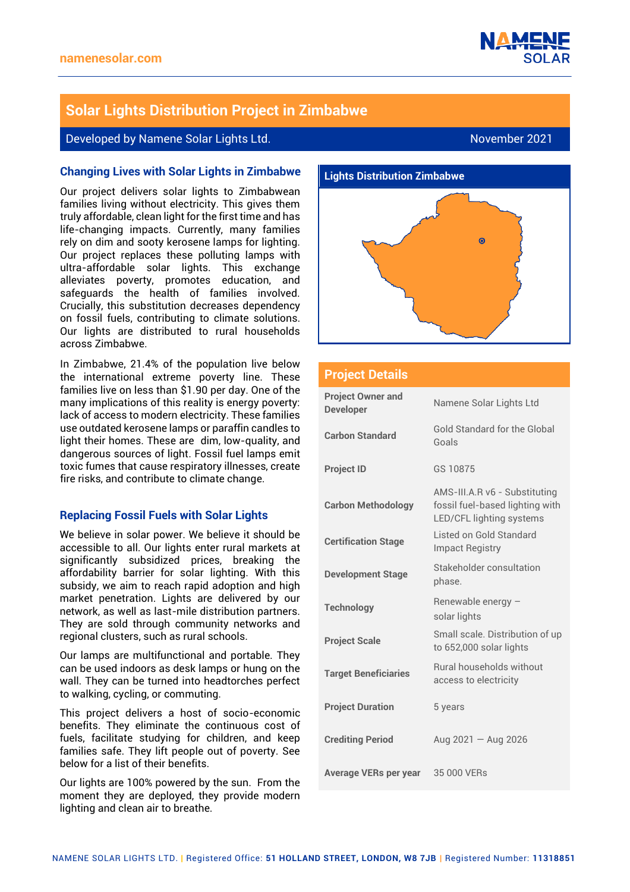

# **Solar Lights Distribution Project in Zimbabwe**

## Developed by Namene Solar Lights Ltd. November 2021

## **Changing Lives with Solar Lights in Zimbabwe**

Our project delivers solar lights to Zimbabwean families living without electricity. This gives them truly affordable, clean light for the first time and has life-changing impacts. Currently, many families rely on dim and sooty kerosene lamps for lighting. Our project replaces these polluting lamps with ultra-affordable solar lights. This exchange alleviates poverty, promotes education, and safeguards the health of families involved. Crucially, this substitution decreases dependency on fossil fuels, contributing to climate solutions. Our lights are distributed to rural households across Zimbabwe.

In Zimbabwe, 21.4% of the population live below the international extreme poverty line. These families live on less than \$1.90 per day. One of the many implications of this reality is energy poverty: lack of access to modern electricity. These families use outdated kerosene lamps or paraffin candles to light their homes. These are dim, low-quality, and dangerous sources of light. Fossil fuel lamps emit toxic fumes that cause respiratory illnesses, create fire risks, and contribute to climate change.

### **Replacing Fossil Fuels with Solar Lights**

We believe in solar power. We believe it should be accessible to all. Our lights enter rural markets at significantly subsidized prices, breaking the affordability barrier for solar lighting. With this subsidy, we aim to reach rapid adoption and high market penetration. Lights are delivered by our network, as well as last-mile distribution partners. They are sold through community networks and regional clusters, such as rural schools.

Our lamps are multifunctional and portable. They can be used indoors as desk lamps or hung on the wall. They can be turned into headtorches perfect to walking, cycling, or commuting.

This project delivers a host of socio-economic benefits. They eliminate the continuous cost of fuels, facilitate studying for children, and keep families safe. They lift people out of poverty. See below for a list of their benefits.

Our lights are 100% powered by the sun. From the moment they are deployed, they provide modern lighting and clean air to breathe.



#### **Project Details**

| <b>Project Owner and</b><br><b>Developer</b> | Namene Solar Lights Ltd                                                                      |
|----------------------------------------------|----------------------------------------------------------------------------------------------|
| <b>Carbon Standard</b>                       | Gold Standard for the Global<br>Goals                                                        |
| <b>Project ID</b>                            | GS 10875                                                                                     |
| <b>Carbon Methodology</b>                    | AMS-III.A.R v6 - Substituting<br>fossil fuel-based lighting with<br>LED/CFL lighting systems |
| <b>Certification Stage</b>                   | Listed on Gold Standard<br><b>Impact Registry</b>                                            |
| <b>Development Stage</b>                     | Stakeholder consultation<br>phase.                                                           |
| <b>Technology</b>                            | Renewable energy -<br>solar lights                                                           |
| <b>Project Scale</b>                         | Small scale. Distribution of up<br>to 652,000 solar lights                                   |
| <b>Target Beneficiaries</b>                  | <b>Rural households without</b><br>access to electricity                                     |
| <b>Project Duration</b>                      | 5 years                                                                                      |
| <b>Crediting Period</b>                      | Aug $2021 -$ Aug 2026                                                                        |
| <b>Average VERs per year</b>                 | 35 000 VERs                                                                                  |